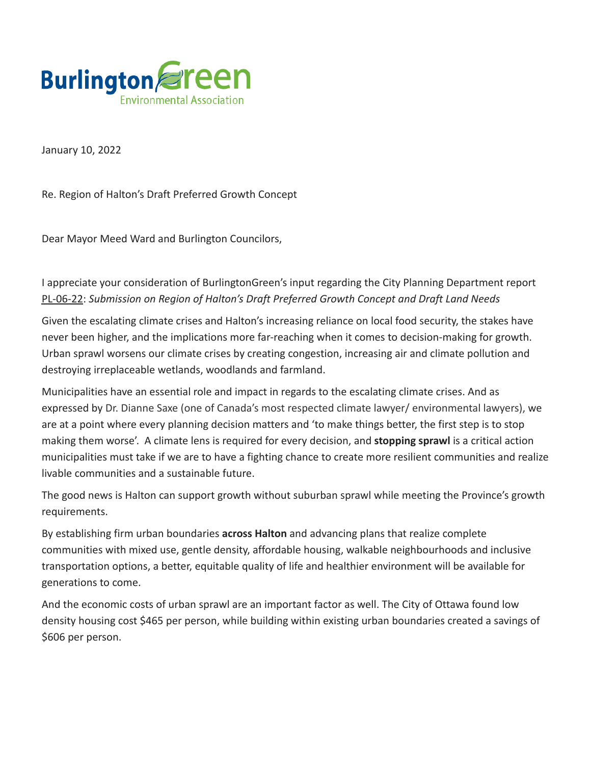

January 10, 2022

Re. Region of Halton's Draft Preferred Growth Concept

Dear Mayor Meed Ward and Burlington Councilors,

I appreciate your consideration of BurlingtonGreen's input regarding the City Planning Department report [PL-06-22](https://burlingtonpublishing.escribemeetings.com/filestream.ashx?DocumentId=53353): *Submission on Region of Halton's Draft Preferred Growth Concept and Draft Land Needs*

Given the escalating climate crises and Halton's increasing reliance on local food security, the stakes have never been higher, and the implications more far-reaching when it comes to decision-making for growth. Urban sprawl worsens our climate crises by creating congestion, increasing air and climate pollution and destroying irreplaceable wetlands, woodlands and farmland.

Municipalities have an essential role and impact in regards to the escalating climate crises. And as expressed by Dr. Dianne Saxe (one of Canada's most respected climate lawyer/ environmental lawyers), we are at a point where every planning decision matters and 'to make things better, the first step is to stop making them worse'. A climate lens is required for every decision, and **stopping sprawl** is a critical action municipalities must take if we are to have a fighting chance to create more resilient communities and realize livable communities and a sustainable future.

The good news is Halton can support growth without suburban sprawl while meeting the Province's growth requirements.

By establishing firm urban boundaries **across Halton** and advancing plans that realize complete communities with mixed use, gentle density, affordable housing, walkable neighbourhoods and inclusive transportation options, a better, equitable quality of life and healthier environment will be available for generations to come.

And the economic costs of urban sprawl are an important factor as well. The City of Ottawa found low density housing cost \$465 per person, while building within existing urban boundaries created a savings of \$606 per person.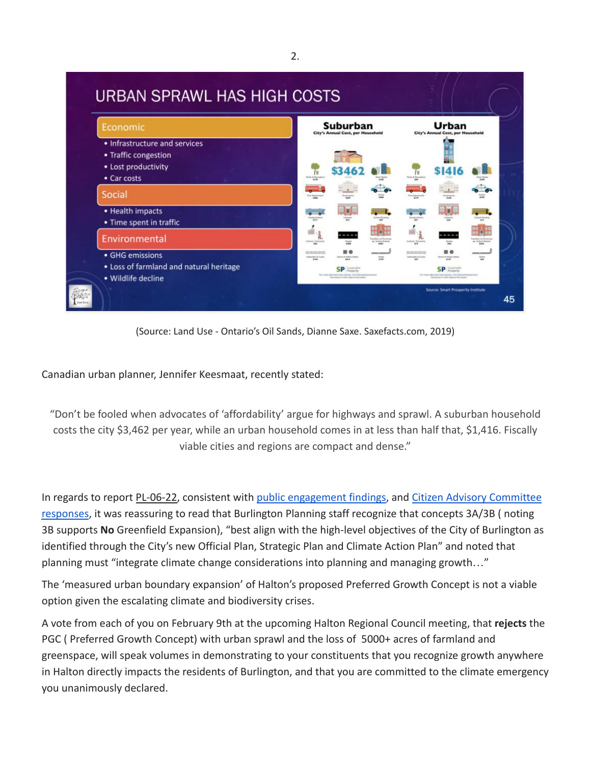

(Source: Land Use - Ontario's Oil Sands, Dianne Saxe. Saxefacts.com, 2019)

Canadian urban planner, Jennifer Keesmaat, recently stated:

"Don't be fooled when advocates of 'affordability' argue for highways and sprawl. A suburban household costs the city \$3,462 per year, while an urban household comes in at less than half that, \$1,416. Fiscally viable cities and regions are compact and dense."

In regards to report [PL-06-22,](https://burlingtonpublishing.escribemeetings.com/filestream.ashx?DocumentId=53353) consistent with public [engagement findings](https://edmweb.halton.ca/OnBaseAgendaOnline/Documents/ViewDocument/Attachment%20_2%20to%20Draft%20PGC%20Memo%20-%20Summary%20of%20Public%20Engagement.pdf.pdf?meetingId=4266&documentType=Agenda&itemId=120978&publishId=70578&isSection=false), and [Citizen Advisory Committee](https://edmweb.halton.ca/OnBaseAgendaOnline/Documents/ViewDocument/Attachment%20_3%20to%20Draft%20PGC%20Memo%20-%20Response%20to%20Advisory%20Committee%20Comments%20Ta.pdf?meetingId=4266&documentType=Agenda&itemId=120978&publishId=70579&isSection=false) [responses](https://edmweb.halton.ca/OnBaseAgendaOnline/Documents/ViewDocument/Attachment%20_3%20to%20Draft%20PGC%20Memo%20-%20Response%20to%20Advisory%20Committee%20Comments%20Ta.pdf?meetingId=4266&documentType=Agenda&itemId=120978&publishId=70579&isSection=false), it was reassuring to read that Burlington Planning staff recognize that concepts 3A/3B ( noting 3B supports **No** Greenfield Expansion), "best align with the high-level objectives of the City of Burlington as identified through the City's new Official Plan, Strategic Plan and Climate Action Plan" and noted that planning must "integrate climate change considerations into planning and managing growth…"

The 'measured urban boundary expansion' of Halton's proposed Preferred Growth Concept is not a viable option given the escalating climate and biodiversity crises.

A vote from each of you on February 9th at the upcoming Halton Regional Council meeting, that **rejects** the PGC ( Preferred Growth Concept) with urban sprawl and the loss of 5000+ acres of farmland and greenspace, will speak volumes in demonstrating to your constituents that you recognize growth anywhere in Halton directly impacts the residents of Burlington, and that you are committed to the climate emergency you unanimously declared.